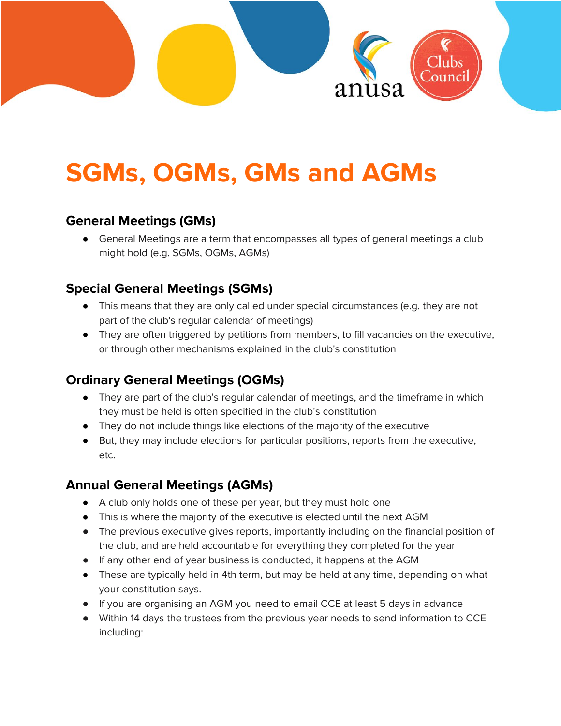

# **SGMs, OGMs, GMs and AGMs**

## **General Meetings (GMs)**

● General Meetings are a term that encompasses all types of general meetings a club might hold (e.g. SGMs, OGMs, AGMs)

# **Special General Meetings (SGMs)**

- This means that they are only called under special circumstances (e.g. they are not part of the club's regular calendar of meetings)
- They are often triggered by petitions from members, to fill vacancies on the executive, or through other mechanisms explained in the club's constitution

# **Ordinary General Meetings (OGMs)**

- They are part of the club's regular calendar of meetings, and the timeframe in which they must be held is often specified in the club's constitution
- They do not include things like elections of the majority of the executive
- But, they may include elections for particular positions, reports from the executive, etc.

## **Annual General Meetings (AGMs)**

- A club only holds one of these per year, but they must hold one
- This is where the majority of the executive is elected until the next AGM
- The previous executive gives reports, importantly including on the financial position of the club, and are held accountable for everything they completed for the year
- If any other end of year business is conducted, it happens at the AGM
- These are typically held in 4th term, but may be held at any time, depending on what your constitution says.
- If you are organising an AGM you need to email CCE at least 5 days in advance
- Within 14 days the trustees from the previous year needs to send information to CCE including: